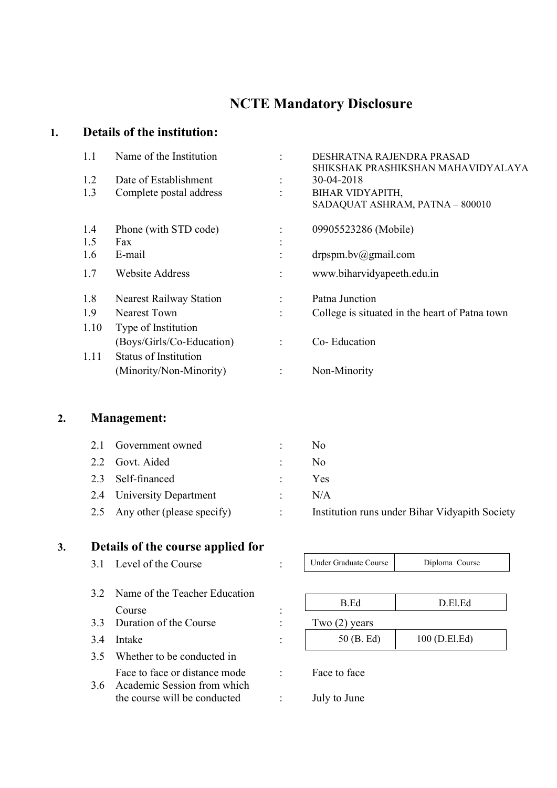# NCTE Mandatory Disclosure

## 1. Details of the institution :

| 1.1  | Name of the Institution        |                | DESHRATNA RAJENDRA PRASAD<br>SHIKSHAK PRASHIKSHAN MAHAVIDYALAYA |
|------|--------------------------------|----------------|-----------------------------------------------------------------|
| 1.2  | Date of Establishment          |                | 30-04-2018                                                      |
| 1.3  | Complete postal address        |                | <b>BIHAR VIDYAPITH,</b><br>SADAQUAT ASHRAM, PATNA - 800010      |
| 1.4  | Phone (with STD code)          |                | 09905523286 (Mobile)                                            |
| 1.5  | Fax                            |                |                                                                 |
| 1.6  | E-mail                         | $\bullet$      | $d$ rpspm.bv $@g$ mail.com                                      |
| 1.7  | <b>Website Address</b>         |                | www.biharvidyapeeth.edu.in                                      |
| 1.8  | <b>Nearest Railway Station</b> |                | Patna Junction                                                  |
| 1.9  | <b>Nearest Town</b>            |                | College is situated in the heart of Patna town                  |
| 1.10 | Type of Institution            |                |                                                                 |
|      | (Boys/Girls/Co-Education)      | $\ddot{\cdot}$ | Co-Education                                                    |
| 1.11 | <b>Status of Institution</b>   |                |                                                                 |
|      | (Minority/Non-Minority)        |                | Non-Minority                                                    |

### 2. Management:

| 2.1 Government owned           |                      | N <sub>0</sub>                                 |
|--------------------------------|----------------------|------------------------------------------------|
| 2.2 Govt. Aided                | $\ddot{\phantom{0}}$ | N <sub>0</sub>                                 |
| 2.3 Self-financed              |                      | Yes                                            |
| 2.4 University Department      | $\mathbb{R}^n$       | N/A                                            |
| 2.5 Any other (please specify) |                      | Institution runs under Bihar Vidyapith Society |

#### 3. Details of the course applied for

| 3.1 Level of the Course |  |
|-------------------------|--|
|                         |  |

Under Graduate Course Diploma Course

- 3.2 Name of the Teacher Education Course : 3.3 Duration of the Course : Two (2) years 3.4 Intake : 3.5 Whether to be conducted in Face to face or distance mode : Face to face
	-
- 3.6 Academic Session from which the course will be conducted : July to June
	-
- 
- B.Ed D.El.Ed 50 (B. Ed) 100 (D.El.Ed)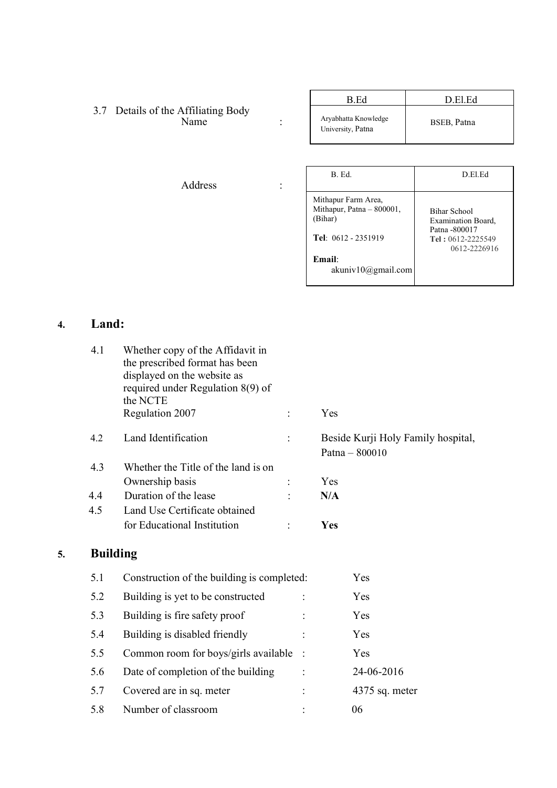|                                                                                  | B.Ed                                                                               | D.El.Ed                                                                         |
|----------------------------------------------------------------------------------|------------------------------------------------------------------------------------|---------------------------------------------------------------------------------|
| 3.7 Details of the Affiliating Body<br>Name<br>$\bullet$<br>$\ddot{\phantom{0}}$ | Aryabhatta Knowledge<br>University, Patna                                          | BSEB, Patna                                                                     |
|                                                                                  |                                                                                    |                                                                                 |
| Address<br>$\ddot{\cdot}$                                                        | B. Ed.                                                                             | D.El.Ed                                                                         |
|                                                                                  | Mithapur Farm Area,<br>Mithapur, Patna - 800001,<br>(Bihar)<br>Tel: 0612 - 2351919 | <b>Bihar School</b><br>Examination Board,<br>Patna -800017<br>Tel: 0612-2225549 |
|                                                                                  | Email:<br>akuniv10@gmail.com                                                       | 0612-2226916                                                                    |

# 4. Land:

 $5.$ 

|    | 4.1             | Whether copy of the Affidavit in<br>the prescribed format has been<br>displayed on the website as<br>required under Regulation $8(9)$ of<br>the NCTE |                |                                                      |
|----|-----------------|------------------------------------------------------------------------------------------------------------------------------------------------------|----------------|------------------------------------------------------|
|    |                 | Regulation 2007                                                                                                                                      | $\ddot{\cdot}$ | Yes                                                  |
|    | 4.2             | Land Identification                                                                                                                                  | $\ddot{\cdot}$ | Beside Kurji Holy Family hospital,<br>Patna - 800010 |
|    | 4.3             | Whether the Title of the land is on                                                                                                                  |                |                                                      |
|    |                 | Ownership basis                                                                                                                                      | $\ddot{\cdot}$ | Yes                                                  |
|    | 4.4             | Duration of the lease                                                                                                                                |                | N/A                                                  |
|    | 4.5             | Land Use Certificate obtained                                                                                                                        |                |                                                      |
|    |                 | for Educational Institution                                                                                                                          |                | Yes                                                  |
| 5. | <b>Building</b> |                                                                                                                                                      |                |                                                      |
|    | 5.1             | Construction of the building is completed:                                                                                                           |                | Yes                                                  |
|    | 5.2             | Building is yet to be constructed                                                                                                                    |                | Yes                                                  |
|    | 5.3             | Building is fire safety proof                                                                                                                        |                | Yes                                                  |
|    | 5.4             | Building is disabled friendly                                                                                                                        |                | Yes                                                  |
|    | 5.5             | Common room for boys/girls available                                                                                                                 |                | Yes                                                  |
|    | 5.6             | Date of completion of the building                                                                                                                   |                | 24-06-2016                                           |
|    | 5.7             | Covered are in sq. meter                                                                                                                             |                | 4375 sq. meter                                       |
|    | 5.8             | Number of classroom                                                                                                                                  |                | 06                                                   |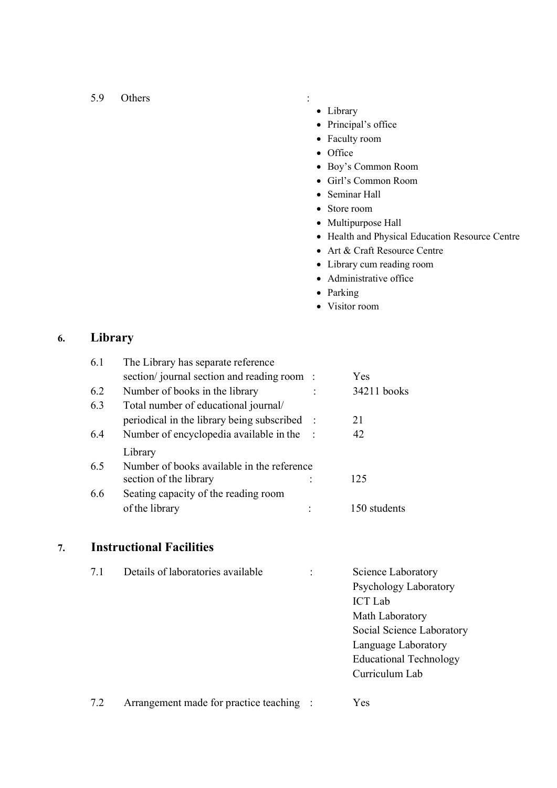#### 5.9 Others :

- Library
- Principal's office
- Faculty room
- Office
- Boy's Common Room
- Girl's Common Room
- Seminar Hall
- Store room
- Multipurpose Hall
- Health and Physical Education Resource Centre
- Art & Craft Resource Centre
- Library cum reading room
- Administrative office
- Parking
- Visitor room

#### 6. Library

| 6.1 | The Library has separate reference         |              |
|-----|--------------------------------------------|--------------|
|     | section/journal section and reading room : | Yes          |
| 6.2 | Number of books in the library             | 34211 books  |
| 6.3 | Total number of educational journal/       |              |
|     | periodical in the library being subscribed | 21           |
| 6.4 | Number of encyclopedia available in the    | 42           |
|     | Library                                    |              |
| 6.5 | Number of books available in the reference |              |
|     | section of the library                     | 125          |
| 6.6 | Seating capacity of the reading room       |              |
|     | of the library                             | 150 students |

### 7. Instructional Facilities

| 7.1 | Details of laboratories available | ٠ | Science Laboratory            |
|-----|-----------------------------------|---|-------------------------------|
|     |                                   |   | Psychology Laboratory         |
|     |                                   |   | <b>ICT</b> Lab                |
|     |                                   |   | Math Laboratory               |
|     |                                   |   | Social Science Laboratory     |
|     |                                   |   | Language Laboratory           |
|     |                                   |   | <b>Educational Technology</b> |
|     |                                   |   | Curriculum Lab                |
|     |                                   |   |                               |

7.2 Arrangement made for practice teaching : Yes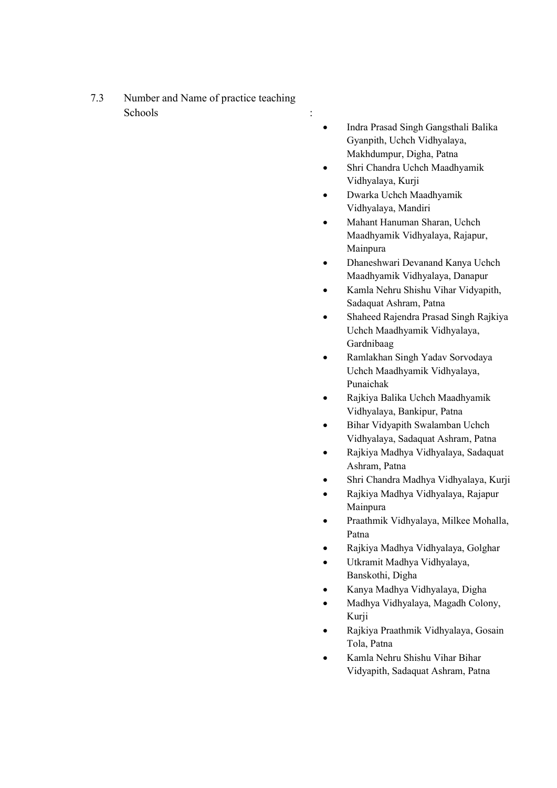- 7.3 Number and Name of practice teaching Schools :
- Indra Prasad Singh Gangsthali Balika Gyanpith, Uchch Vidhyalaya, Makhdumpur, Digha, Patna
- Shri Chandra Uchch Maadhyamik Vidhyalaya, Kurji
- Dwarka Uchch Maadhyamik Vidhyalaya, Mandiri
- Mahant Hanuman Sharan, Uchch Maadhyamik Vidhyalaya, Rajapur, Mainpura
- Dhaneshwari Devanand Kanya Uchch Maadhyamik Vidhyalaya, Danapur
- Kamla Nehru Shishu Vihar Vidyapith, Sadaquat Ashram, Patna
- Shaheed Rajendra Prasad Singh Rajkiya Uchch Maadhyamik Vidhyalaya, Gardnibaag
- Ramlakhan Singh Yadav Sorvodaya Uchch Maadhyamik Vidhyalaya, Punaichak
- Rajkiya Balika Uchch Maadhyamik Vidhyalaya, Bankipur, Patna
- Bihar Vidyapith Swalamban Uchch Vidhyalaya, Sadaquat Ashram, Patna
- Rajkiya Madhya Vidhyalaya, Sadaquat Ashram, Patna
- Shri Chandra Madhya Vidhyalaya, Kurji
- Rajkiya Madhya Vidhyalaya, Rajapur Mainpura
- Praathmik Vidhyalaya, Milkee Mohalla, Patna
- Rajkiya Madhya Vidhyalaya, Golghar
- Utkramit Madhya Vidhyalaya, Banskothi, Digha
- Kanya Madhya Vidhyalaya, Digha
- Madhya Vidhyalaya, Magadh Colony, Kurji
- Rajkiya Praathmik Vidhyalaya, Gosain Tola, Patna
- Kamla Nehru Shishu Vihar Bihar Vidyapith, Sadaquat Ashram, Patna